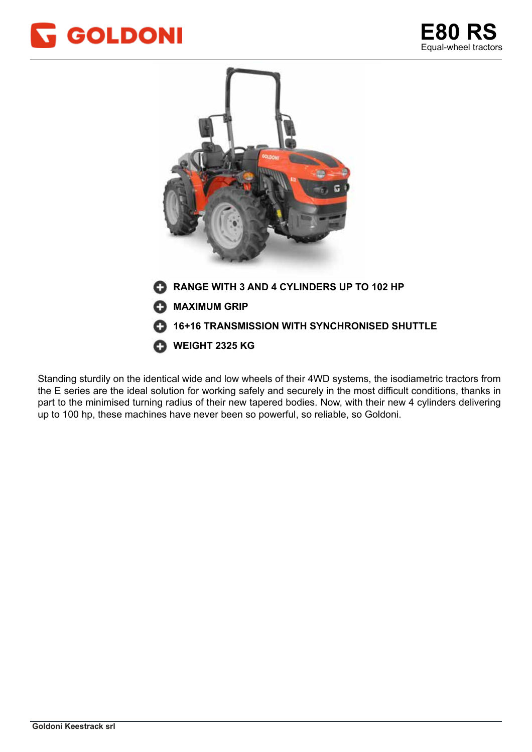





Standing sturdily on the identical wide and low wheels of their 4WD systems, the isodiametric tractors from the E series are the ideal solution for working safely and securely in the most difficult conditions, thanks in part to the minimised turning radius of their new tapered bodies. Now, with their new 4 cylinders delivering up to 100 hp, these machines have never been so powerful, so reliable, so Goldoni.